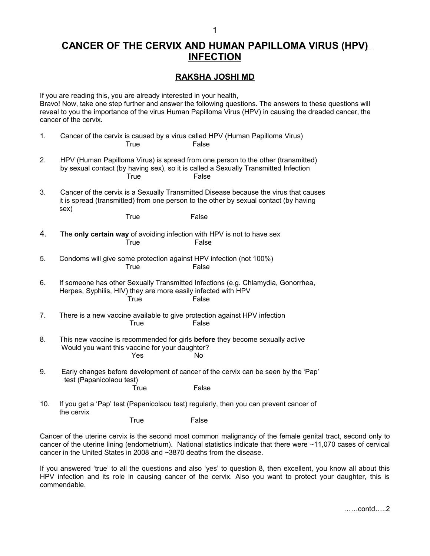## **CANCER OF THE CERVIX AND HUMAN PAPILLOMA VIRUS (HPV) INFECTION**

## **RAKSHA JOSHI MD**

If you are reading this, you are already interested in your health, Bravo! Now, take one step further and answer the following questions. The answers to these questions will reveal to you the importance of the virus Human Papilloma Virus (HPV) in causing the dreaded cancer, the cancer of the cervix.

| 1.  |                                                                                                                                                                                                 | True        | Cancer of the cervix is caused by a virus called HPV (Human Papilloma Virus)<br>False |
|-----|-------------------------------------------------------------------------------------------------------------------------------------------------------------------------------------------------|-------------|---------------------------------------------------------------------------------------|
| 2.  | HPV (Human Papilloma Virus) is spread from one person to the other (transmitted)<br>by sexual contact (by having sex), so it is called a Sexually Transmitted Infection<br><b>True</b><br>False |             |                                                                                       |
| 3.  | Cancer of the cervix is a Sexually Transmitted Disease because the virus that causes<br>it is spread (transmitted) from one person to the other by sexual contact (by having<br>sex)            |             |                                                                                       |
|     |                                                                                                                                                                                                 | <b>True</b> | False                                                                                 |
| 4.  | The only certain way of avoiding infection with HPV is not to have sex<br><b>True</b><br>False                                                                                                  |             |                                                                                       |
| 5.  | Condoms will give some protection against HPV infection (not 100%)<br>True<br>False                                                                                                             |             |                                                                                       |
| 6.  | If someone has other Sexually Transmitted Infections (e.g. Chlamydia, Gonorrhea,<br>Herpes, Syphilis, HIV) they are more easily infected with HPV<br>True<br>False                              |             |                                                                                       |
| 7.  |                                                                                                                                                                                                 | <b>True</b> | There is a new vaccine available to give protection against HPV infection<br>False    |
| 8.  | This new vaccine is recommended for girls before they become sexually active<br>Would you want this vaccine for your daughter?<br>Yes<br>No                                                     |             |                                                                                       |
| 9.  | Early changes before development of cancer of the cervix can be seen by the 'Pap'<br>test (Papanicolaou test)                                                                                   |             |                                                                                       |
|     |                                                                                                                                                                                                 | True        | False                                                                                 |
| 10. | If you get a 'Pap' test (Papanicolaou test) regularly, then you can prevent cancer of<br>the cervix                                                                                             |             |                                                                                       |
|     |                                                                                                                                                                                                 | <b>True</b> | False                                                                                 |

Cancer of the uterine cervix is the second most common malignancy of the female genital tract, second only to cancer of the uterine lining (endometrium). National statistics indicate that there were ~11,070 cases of cervical cancer in the United States in 2008 and ~3870 deaths from the disease.

If you answered 'true' to all the questions and also 'yes' to question 8, then excellent, you know all about this HPV infection and its role in causing cancer of the cervix. Also you want to protect your daughter, this is commendable.

……contd…..2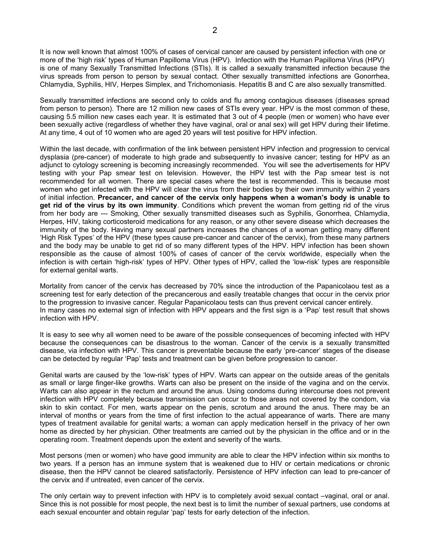It is now well known that almost 100% of cases of cervical cancer are caused by persistent infection with one or more of the 'high risk' types of Human Papilloma Virus (HPV). Infection with the Human Papilloma Virus (HPV) is one of many Sexually Transmitted Infections (STIs). It is called a sexually transmitted infection because the virus spreads from person to person by sexual contact. Other sexually transmitted infections are Gonorrhea, Chlamydia, Syphilis, HIV, Herpes Simplex, and Trichomoniasis. Hepatitis B and C are also sexually transmitted.

Sexually transmitted infections are second only to colds and flu among contagious diseases (diseases spread from person to person). There are 12 million new cases of STIs every year. HPV is the most common of these, causing 5.5 million new cases each year. It is estimated that 3 out of 4 people (men or women) who have ever been sexually active (regardless of whether they have vaginal, oral or anal sex) will get HPV during their lifetime. At any time, 4 out of 10 women who are aged 20 years will test positive for HPV infection.

Within the last decade, with confirmation of the link between persistent HPV infection and progression to cervical dysplasia (pre-cancer) of moderate to high grade and subsequently to invasive cancer; testing for HPV as an adjunct to cytology screening is becoming increasingly recommended. You will see the advertisements for HPV testing with your Pap smear test on television. However, the HPV test with the Pap smear test is not recommended for all women. There are special cases where the test is recommended. This is because most women who get infected with the HPV will clear the virus from their bodies by their own immunity within 2 years of initial infection. **Precancer, and cancer of the cervix only happens when a woman's body is unable to get rid of the virus by its own immunity**. Conditions which prevent the woman from getting rid of the virus from her body are --- Smoking, Other sexually transmitted diseases such as Syphilis, Gonorrhea, Chlamydia, Herpes, HIV, taking corticosteroid medications for any reason, or any other severe disease which decreases the immunity of the body. Having many sexual partners increases the chances of a woman getting many different 'High Risk Types' of the HPV (these types cause pre-cancer and cancer of the cervix), from these many partners and the body may be unable to get rid of so many different types of the HPV. HPV infection has been shown responsible as the cause of almost 100% of cases of cancer of the cervix worldwide, especially when the infection is with certain 'high-risk' types of HPV. Other types of HPV, called the 'low-risk' types are responsible for external genital warts.

Mortality from cancer of the cervix has decreased by 70% since the introduction of the Papanicolaou test as a screening test for early detection of the precancerous and easily treatable changes that occur in the cervix prior to the progression to invasive cancer. Regular Papanicolaou tests can thus prevent cervical cancer entirely. In many cases no external sign of infection with HPV appears and the first sign is a 'Pap' test result that shows infection with HPV.

It is easy to see why all women need to be aware of the possible consequences of becoming infected with HPV because the consequences can be disastrous to the woman. Cancer of the cervix is a sexually transmitted disease, via infection with HPV. This cancer is preventable because the early 'pre-cancer' stages of the disease can be detected by regular 'Pap' tests and treatment can be given before progression to cancer.

Genital warts are caused by the 'low-risk' types of HPV. Warts can appear on the outside areas of the genitals as small or large finger-like growths. Warts can also be present on the inside of the vagina and on the cervix. Warts can also appear in the rectum and around the anus. Using condoms during intercourse does not prevent infection with HPV completely because transmission can occur to those areas not covered by the condom, via skin to skin contact. For men, warts appear on the penis, scrotum and around the anus. There may be an interval of months or years from the time of first infection to the actual appearance of warts. There are many types of treatment available for genital warts; a woman can apply medication herself in the privacy of her own home as directed by her physician. Other treatments are carried out by the physician in the office and or in the operating room. Treatment depends upon the extent and severity of the warts.

Most persons (men or women) who have good immunity are able to clear the HPV infection within six months to two years. If a person has an immune system that is weakened due to HIV or certain medications or chronic disease, then the HPV cannot be cleared satisfactorily. Persistence of HPV infection can lead to pre-cancer of the cervix and if untreated, even cancer of the cervix.

The only certain way to prevent infection with HPV is to completely avoid sexual contact –vaginal, oral or anal. Since this is not possible for most people, the next best is to limit the number of sexual partners, use condoms at each sexual encounter and obtain regular 'pap' tests for early detection of the infection.